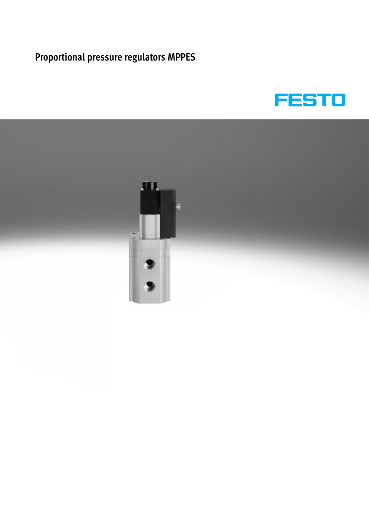

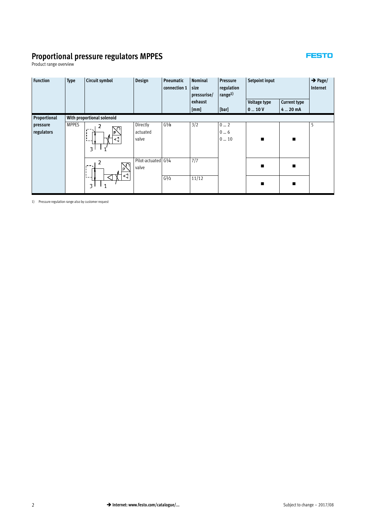### **FESTO**

Product range overview

| <b>Function</b>        | <b>Type</b>  | Circuit symbol                                          | Design                        | Pneumatic<br>connection 1 | <b>Nominal</b><br>size<br>pressurise/ | Pressure<br>regulation<br>range <sup>1)</sup> | Setpoint input |                     | $\rightarrow$ Page/<br>Internet |
|------------------------|--------------|---------------------------------------------------------|-------------------------------|---------------------------|---------------------------------------|-----------------------------------------------|----------------|---------------------|---------------------------------|
|                        |              |                                                         |                               |                           | exhaust                               |                                               | Voltage type   | <b>Current type</b> |                                 |
|                        |              |                                                         |                               |                           | [mm]                                  | [bar]                                         | $0 - 10V$      | 4  20 mA            |                                 |
| Proportional           |              | With proportional solenoid                              |                               |                           |                                       |                                               |                |                     |                                 |
| pressure<br>regulators | <b>MPPES</b> | 2<br>5<br>D<br><1<br>$\ddot{\bullet}$<br>3 <sup>1</sup> | Directly<br>actuated<br>valve | G <sup>1</sup> /8         | 3/2                                   | 02<br>06<br>010                               | п              | $\blacksquare$      | 5                               |
|                        |              | $\sim$<br>$\overline{3}$<br>1                           | Pilot-actuated G1/4<br>valve  | G <sup>1</sup> /2         | 7/7<br>11/12                          |                                               | ■              | п                   |                                 |

1) Pressure regulation range also by customer request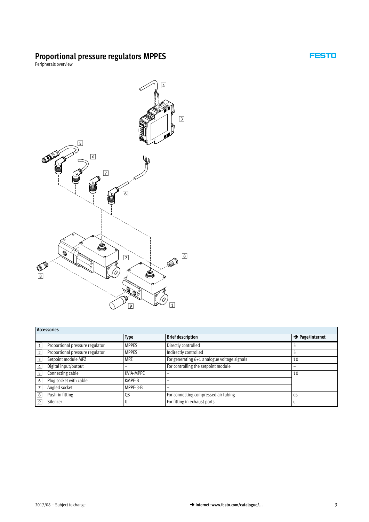Peripherals overview



#### **Accessories**

|             | 716663301163                    |              |                                             |                             |  |  |  |  |  |  |
|-------------|---------------------------------|--------------|---------------------------------------------|-----------------------------|--|--|--|--|--|--|
|             |                                 | <b>Type</b>  | <b>Brief description</b>                    | $\rightarrow$ Page/Internet |  |  |  |  |  |  |
| $\vert$ 1   | Proportional pressure regulator | <b>MPPES</b> | Directly controlled                         |                             |  |  |  |  |  |  |
| $\sqrt{2}$  | Proportional pressure regulator | <b>MPPES</b> | Indirectly controlled                       |                             |  |  |  |  |  |  |
| $\sqrt{3}$  | Setpoint module MPZ             | <b>MPZ</b>   | For generating 6+1 analogue voltage signals | 10                          |  |  |  |  |  |  |
| 4           | Digital input/output            | -            | For controlling the setpoint module         | -                           |  |  |  |  |  |  |
| $\sqrt{5}$  | Connecting cable                | KVIA-MPPE    |                                             | 10                          |  |  |  |  |  |  |
| 6           | Plug socket with cable          | KMPE-B       |                                             |                             |  |  |  |  |  |  |
| $\sqrt{7}$  | Angled socket                   | MPPE-3-B     |                                             |                             |  |  |  |  |  |  |
| $\boxed{8}$ | Push-in fitting                 | QS           | For connecting compressed air tubing        | qs                          |  |  |  |  |  |  |
| 9           | Silencer                        |              | For fitting in exhaust ports                | u                           |  |  |  |  |  |  |

**FESTO** 

 $\overline{\phantom{a}}$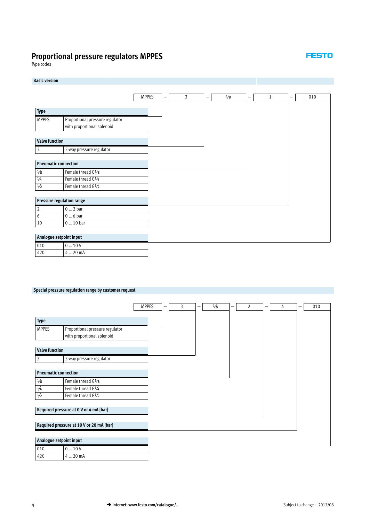Type codes

### **Basic version** MPPES  $|-$  3  $|-$  1/8  $|-$  1 1  $|-$  010 **Type** MPPES Proportional pressure regulator with proportional solenoid **Valve function** 3 3-way pressure regulator **Pneumatic connection**  $\frac{1}{8}$  Female thread G $\frac{1}{8}$ 1/4 Female thread G1/4 ½ Female thread G½ **Pressure regulation range** 2 0 … 2 bar 6 0 … 6 bar 10 0 ... 10 bar **Analogue setpoint input** 010  $0...10V$ 420 4 ... 20 mA

#### **Special pressure regulation range by customer request**

|                             |                                          | <b>MPPES</b> | 3 | $\frac{1}{8}$ | - | 2 | 4 | 010 |
|-----------------------------|------------------------------------------|--------------|---|---------------|---|---|---|-----|
|                             |                                          |              |   |               |   |   |   |     |
| Type                        |                                          |              |   |               |   |   |   |     |
| <b>MPPES</b>                | Proportional pressure regulator          |              |   |               |   |   |   |     |
|                             | with proportional solenoid               |              |   |               |   |   |   |     |
|                             |                                          |              |   |               |   |   |   |     |
| <b>Valve function</b>       |                                          |              |   |               |   |   |   |     |
| 3                           | 3-way pressure regulator                 |              |   |               |   |   |   |     |
|                             |                                          |              |   |               |   |   |   |     |
| <b>Pneumatic connection</b> |                                          |              |   |               |   |   |   |     |
| $\frac{1}{8}$               | Female thread G1/8                       |              |   |               |   |   |   |     |
| $\frac{1}{4}$               | Female thread G1/4                       |              |   |               |   |   |   |     |
| $1/2$                       | Female thread G1/2                       |              |   |               |   |   |   |     |
|                             |                                          |              |   |               |   |   |   |     |
|                             | Required pressure at 0 V or 4 mA [bar]   |              |   |               |   |   |   |     |
|                             |                                          |              |   |               |   |   |   |     |
|                             | Required pressure at 10 V or 20 mA [bar] |              |   |               |   |   |   |     |
|                             |                                          |              |   |               |   |   |   |     |
| Analogue setpoint input     |                                          |              |   |               |   |   |   |     |

010  $0...10V$ 420 4 ... 20 mA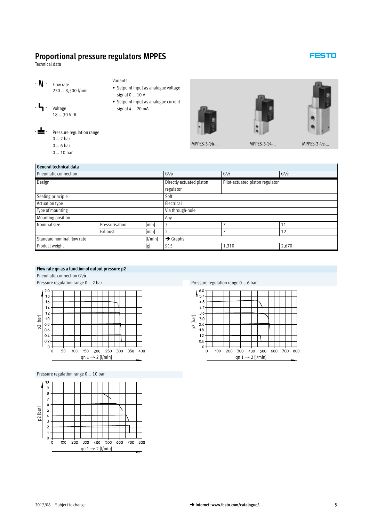<span id="page-4-0"></span>Technical data

- $-$  **N** Flow rate 230 … 8,500 l/min
- $-$ **4** Voltage
	- 18 … 30 V DC

signal 0 … 10 V - Setpoint input as analogue current signal 4 … 20 mA

Variants



- Pressure regulation range 0 … 2 bar
- 
- 0 … 6 bar
- 0 … 10 bar

| General technical data                |                |      |                                                             |                                |       |  |  |  |  |
|---------------------------------------|----------------|------|-------------------------------------------------------------|--------------------------------|-------|--|--|--|--|
| <b>Pneumatic connection</b>           |                |      | G <sup>1</sup> /8                                           | $G^{1/4}$<br>G <sup>1</sup> /2 |       |  |  |  |  |
| Design                                |                |      | Directly actuated piston<br>Pilot-actuated piston regulator |                                |       |  |  |  |  |
|                                       | regulator      |      |                                                             |                                |       |  |  |  |  |
| Sealing principle                     |                |      | Soft                                                        |                                |       |  |  |  |  |
| Actuation type                        |                |      |                                                             | Electrical                     |       |  |  |  |  |
| Type of mounting                      |                |      | Via through-hole                                            |                                |       |  |  |  |  |
| Mounting position                     |                |      | Any                                                         |                                |       |  |  |  |  |
| Nominal size                          | Pressurisation | [mm] | 3                                                           |                                | 11    |  |  |  |  |
|                                       | Exhaust        | [mm] | $\overline{2}$                                              |                                | 12    |  |  |  |  |
| Standard nominal flow rate<br>[1/min] |                |      | $\rightarrow$ Graphs                                        |                                |       |  |  |  |  |
| Product weight<br>[g]                 |                |      | 915                                                         | 1,310                          | 2,670 |  |  |  |  |
|                                       |                |      |                                                             |                                |       |  |  |  |  |

#### **Flow rate qn as a function of output pressure p2**

Pneumatic connection G1/8

Pressure regulation range 0 ... 2 bar Pressure regulation range 0 ... 6 bar



Pressure regulation range 0 … 10 bar





### **FESTO**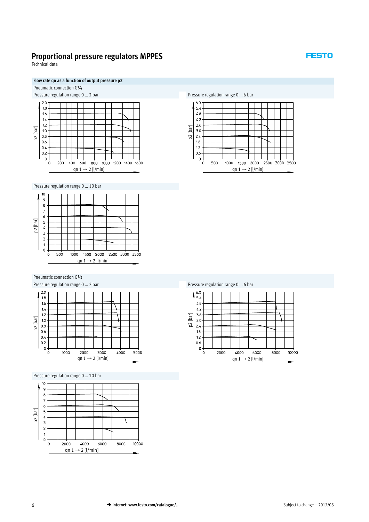Technical data

#### **Flow rate qn as a function of output pressure p2**

Pneumatic connection G1/4



Pressure regulation range 0 … 10 bar



Pneumatic connection G½





Pressure regulation range 0 … 10 bar





|          | 6.0 |      |      |                              |  |      |       |  |
|----------|-----|------|------|------------------------------|--|------|-------|--|
| Ф        | 5.4 |      |      |                              |  |      |       |  |
|          | 4.8 |      |      |                              |  |      |       |  |
|          |     |      |      |                              |  |      |       |  |
|          | 4.2 |      |      |                              |  |      |       |  |
| p2 [bar] | 3.6 |      |      |                              |  |      |       |  |
|          | 3.0 |      |      |                              |  |      |       |  |
|          | 2.4 |      |      |                              |  |      |       |  |
|          |     |      |      |                              |  |      |       |  |
|          | 1.8 |      |      |                              |  |      |       |  |
|          | 1.2 |      |      |                              |  |      |       |  |
|          | 0.6 |      |      |                              |  |      |       |  |
|          | 0   |      |      |                              |  |      |       |  |
|          | 0   | 2000 | 4000 | 6000                         |  | 8000 | 10000 |  |
|          |     |      |      | qn $1 \rightarrow 2$ [l/min] |  |      |       |  |

#### Pressure regulation range 0 ... 2 bar Pressure regulation range 0 ... 6 bar

#### **FESTO**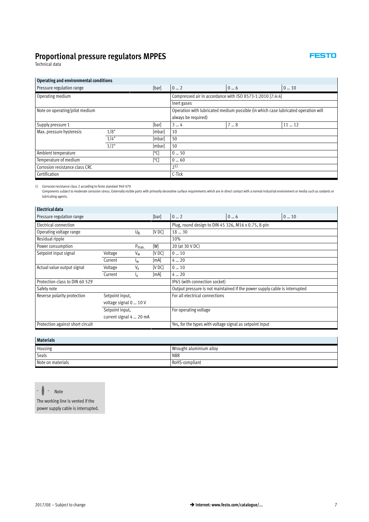Technical data

#### **Operating and environmental conditions**

| [bar]<br>Pressure regulation range<br>Operating medium |        |                                                           | 06 | 010                                                                                                       |  |  |  |
|--------------------------------------------------------|--------|-----------------------------------------------------------|----|-----------------------------------------------------------------------------------------------------------|--|--|--|
|                                                        |        | Compressed air in accordance with ISO 8573-1:2010 [7:4:4] |    |                                                                                                           |  |  |  |
|                                                        |        | Inert gases                                               |    |                                                                                                           |  |  |  |
|                                                        |        |                                                           |    |                                                                                                           |  |  |  |
|                                                        |        |                                                           |    |                                                                                                           |  |  |  |
|                                                        | [bar]  | 34                                                        | 78 | 1112                                                                                                      |  |  |  |
| 1/8"                                                   | [mbar] | 10                                                        |    |                                                                                                           |  |  |  |
| 1/4"                                                   | [mbar] | 50                                                        |    |                                                                                                           |  |  |  |
| $1/2$ "                                                | [mbar] | 50                                                        |    |                                                                                                           |  |  |  |
|                                                        | [°C]   | 050                                                       |    |                                                                                                           |  |  |  |
|                                                        | [°C]   | 060                                                       |    |                                                                                                           |  |  |  |
|                                                        |        | $2^{1}$                                                   |    |                                                                                                           |  |  |  |
|                                                        |        | C-Tick                                                    |    |                                                                                                           |  |  |  |
|                                                        |        |                                                           | 02 | Operation with lubricated medium possible (in which case lubricated operation will<br>always be required) |  |  |  |

1) Corrosion resistance class 2 according to Festo standard 940 070

Components subject to moderate corrosion stress. Externally visible parts with primarily decorative surface requirements which are in direct contact with a normal industrial environment or media such as coolants or lubricating agents.

| Electrical data                  |                         |                  |        |                                                                            |    |     |  |  |  |
|----------------------------------|-------------------------|------------------|--------|----------------------------------------------------------------------------|----|-----|--|--|--|
| Pressure regulation range        |                         |                  | [bar]  | 02                                                                         | 06 | 010 |  |  |  |
| Electrical connection            |                         |                  |        | Plug, round design to DIN 45 326, M16 x 0.75, 8-pin                        |    |     |  |  |  |
| Operating voltage range          |                         | $U_{\rm R}$      | [V DC] | 1830                                                                       |    |     |  |  |  |
| Residual ripple                  |                         |                  |        | 10%                                                                        |    |     |  |  |  |
| Power consumption                |                         | $P_{\text{max}}$ | [W]    | 20 (at 30 V DC)                                                            |    |     |  |  |  |
| Setpoint input signal            | Voltage                 | $V_{w}$          | [V DC] | 010                                                                        |    |     |  |  |  |
|                                  | Current                 | I <sub>W</sub>   | [mA]   | 420                                                                        |    |     |  |  |  |
| Actual value output signal       | Voltage                 | $V_{x}$          | [VDC]  | 010                                                                        |    |     |  |  |  |
|                                  | Current                 | $I_X$            | [mA]   | 420                                                                        |    |     |  |  |  |
| Protection class to DIN 60 529   |                         |                  |        | IP65 (with connection socket)                                              |    |     |  |  |  |
| Safety note                      |                         |                  |        | Output pressure is not maintained if the power supply cable is interrupted |    |     |  |  |  |
| Reverse polarity protection      | Setpoint input,         |                  |        | For all electrical connections                                             |    |     |  |  |  |
|                                  | voltage signal 0  10 V  |                  |        |                                                                            |    |     |  |  |  |
|                                  | Setpoint input,         |                  |        | For operating voltage                                                      |    |     |  |  |  |
|                                  | current signal 4  20 mA |                  |        |                                                                            |    |     |  |  |  |
| Protection against short circuit |                         |                  |        | Yes, for the types with voltage signal as setpoint input                   |    |     |  |  |  |

| <b>Materials</b>        |  |  |  |  |  |  |  |
|-------------------------|--|--|--|--|--|--|--|
| Wrought aluminium alloy |  |  |  |  |  |  |  |
| <b>NBR</b>              |  |  |  |  |  |  |  |
| RoHS-compliant          |  |  |  |  |  |  |  |
|                         |  |  |  |  |  |  |  |

 $\frac{1}{2}$  - Note

The working line is vented if the power supply cable is interrupted.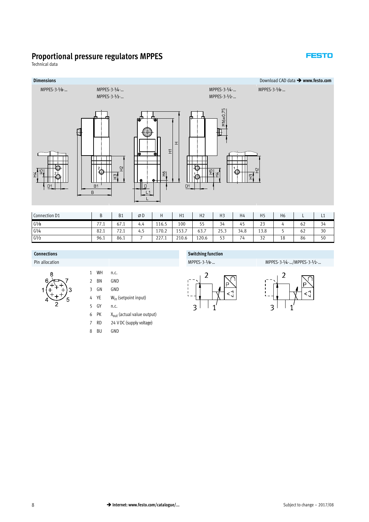#### **FESTO**

Technical data



| Connection D1     |                                            | <b>B1</b>                       | ØD  |                               | Η1                                         | H <sub>2</sub> | $\mathbf{1}$<br>пJ | H4        | 11 <sub>F</sub><br>כ ח     | Η6 |    | ᄂᆠ |
|-------------------|--------------------------------------------|---------------------------------|-----|-------------------------------|--------------------------------------------|----------------|--------------------|-----------|----------------------------|----|----|----|
| $G\frac{1}{8}$    | $\overline{\phantom{a}}$<br>$\sqrt{1 + 1}$ | 67.1                            | 4.4 | 116.5                         | 100                                        | r r<br>ر ر     | 34                 | . .<br>45 | $\sim$ $\sim$<br><u> 2</u> |    | 62 | 34 |
| $G^{1/4}$         | 82.1                                       | $\overline{\phantom{a}}$<br>2.1 | 4.  | 170.2                         | $\mathsf{r} \cap$<br>$\rightarrow$<br>ュノノ・ | 63.7           | 252<br>ر.رد        | 34.8      | 13.8                       |    | 62 | 30 |
| G <sup>1</sup> /2 | 96.1                                       | 86.1                            |     | $\sim$ $\sim$ $\sim$<br>441.I | 210.6                                      | 120.6          | $ \sim$<br>ر ر     | 74        | $\sim$ $\sim$<br>υZ        | 18 | 86 | 50 |

Pin allocation MPPES-3-1/4-.../MPPES-3-1/2-... MPPES-3-1/4-.../MPPES-3-1/4-.../MPPES-3-1/2-...

- 
- 1 WH n.c. 2 BN GND 3 GN GND 4 YE Win (setpoint input) 5 GY n.c.
- 6 PK  $X_{\text{out}}$  (actual value output)
- 7 RD 24 V DC (supply voltage)
- 8 BU GND

#### **Connections Switching function**



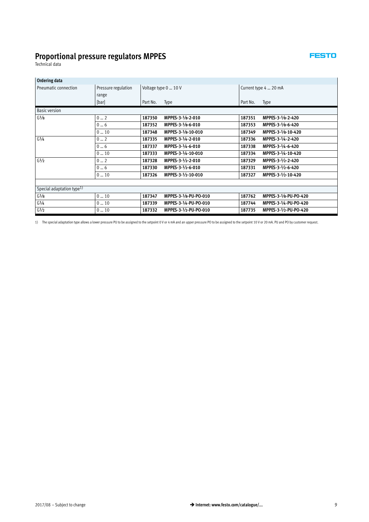Technical data

| Ordering data                         |                     |          |                       |                       |                       |  |  |
|---------------------------------------|---------------------|----------|-----------------------|-----------------------|-----------------------|--|--|
| Pneumatic connection                  | Pressure regulation |          | Voltage type 0  10 V  | Current type 4  20 mA |                       |  |  |
|                                       | range               |          |                       |                       |                       |  |  |
|                                       | [bar]               | Part No. | Type                  | Part No.              | Type                  |  |  |
| <b>Basic version</b>                  |                     |          |                       |                       |                       |  |  |
| G <sup>1</sup> /8                     | 02                  | 187350   | MPPES-3-1/8-2-010     | 187351                | MPPES-3-1/8-2-420     |  |  |
|                                       | 06                  | 187352   | MPPES-3-1/8-6-010     | 187353                | MPPES-3-1/8-6-420     |  |  |
|                                       | 010                 | 187348   | MPPES-3-1/8-10-010    | 187349                | MPPES-3-1/8-10-420    |  |  |
| G1/4                                  | 02                  | 187335   | MPPES-3-1/4-2-010     | 187336                | MPPES-3-1/4-2-420     |  |  |
|                                       | 06                  | 187337   | MPPES-3-1/4-6-010     | 187338                | MPPES-3-1/4-6-420     |  |  |
|                                       | 010                 | 187333   | MPPES-3-1/4-10-010    | 187334                | MPPES-3-1/4-10-420    |  |  |
| G <sup>1</sup> /2                     | 02                  | 187328   | MPPES-3-1/2-2-010     | 187329                | MPPES-3-1/2-2-420     |  |  |
|                                       | 06                  | 187330   | MPPES-3-1/2-6-010     | 187331                | MPPES-3-1/2-6-420     |  |  |
|                                       | 010                 | 187326   | MPPES-3-1/2-10-010    | 187327                | MPPES-3-1/2-10-420    |  |  |
|                                       |                     |          |                       |                       |                       |  |  |
| Special adaptation type <sup>1)</sup> |                     |          |                       |                       |                       |  |  |
| G <sup>1</sup> /8                     | 010                 | 187347   | MPPES-3-1/8-PU-PO-010 | 187762                | MPPES-3-1/8-PU-PO-420 |  |  |
| $G^{1/4}$                             | 010                 | 187339   | MPPES-3-1/4-PU-PO-010 | 187744                | MPPES-3-1/4-PU-PO-420 |  |  |
| G <sup>1</sup> /2                     | 010                 | 187332   | MPPES-3-1/2-PU-PO-010 | 187735                | MPPES-3-1/2-PU-PO-420 |  |  |

1) The special adaptation type allows a lower pressure PU to be assigned to the setpoint 0 V or 4 mA and an upper pressure PO to be assigned to the setpoint 10 V or 20 mA. PU and PO by customer request.